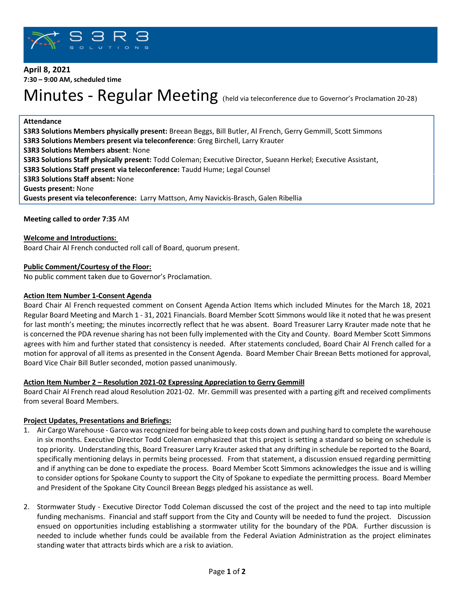

# **April 8, 2021 7:30 – 9:00 AM, scheduled time**

# Minutes - Regular Meeting (held via teleconference due to Governor's Proclamation 20-28)

## **Attendance**

**S3R3 Solutions Members physically present:** Breean Beggs, Bill Butler, Al French, Gerry Gemmill, Scott Simmons **S3R3 Solutions Members present via teleconference**: Greg Birchell, Larry Krauter **S3R3 Solutions Members absent**: None **S3R3 Solutions Staff physically present:** Todd Coleman; Executive Director, Sueann Herkel; Executive Assistant, **S3R3 Solutions Staff present via teleconference:** Taudd Hume; Legal Counsel **S3R3 Solutions Staff absent:** None **Guests present:** None **Guests present via teleconference:** Larry Mattson, Amy Navickis-Brasch, Galen Ribellia

# **Meeting called to order 7:35** AM

# **Welcome and Introductions:**

Board Chair Al French conducted roll call of Board, quorum present.

# **Public Comment/Courtesy of the Floor:**

No public comment taken due to Governor's Proclamation.

## **Action Item Number 1-Consent Agenda**

Board Chair Al French requested comment on Consent Agenda Action Items which included Minutes for the March 18, 2021 Regular Board Meeting and March 1 - 31, 2021 Financials. Board Member Scott Simmons would like it noted that he was present for last month's meeting; the minutes incorrectly reflect that he was absent. Board Treasurer Larry Krauter made note that he is concerned the PDA revenue sharing has not been fully implemented with the City and County. Board Member Scott Simmons agrees with him and further stated that consistency is needed. After statements concluded, Board Chair Al French called for a motion for approval of all items as presented in the Consent Agenda. Board Member Chair Breean Betts motioned for approval, Board Vice Chair Bill Butler seconded, motion passed unanimously.

## **Action Item Number 2 – Resolution 2021-02 Expressing Appreciation to Gerry Gemmill**

Board Chair Al French read aloud Resolution 2021-02. Mr. Gemmill was presented with a parting gift and received compliments from several Board Members.

## **Project Updates, Presentations and Briefings:**

- 1. Air Cargo Warehouse Garco was recognized for being able to keep costs down and pushing hard to complete the warehouse in six months. Executive Director Todd Coleman emphasized that this project is setting a standard so being on schedule is top priority. Understanding this, Board Treasurer Larry Krauter asked that any drifting in schedule be reported to the Board, specifically mentioning delays in permits being processed. From that statement, a discussion ensued regarding permitting and if anything can be done to expediate the process. Board Member Scott Simmons acknowledges the issue and is willing to consider options for Spokane County to support the City of Spokane to expediate the permitting process. Board Member and President of the Spokane City Council Breean Beggs pledged his assistance as well.
- 2. Stormwater Study Executive Director Todd Coleman discussed the cost of the project and the need to tap into multiple funding mechanisms. Financial and staff support from the City and County will be needed to fund the project. Discussion ensued on opportunities including establishing a stormwater utility for the boundary of the PDA. Further discussion is needed to include whether funds could be available from the Federal Aviation Administration as the project eliminates standing water that attracts birds which are a risk to aviation.